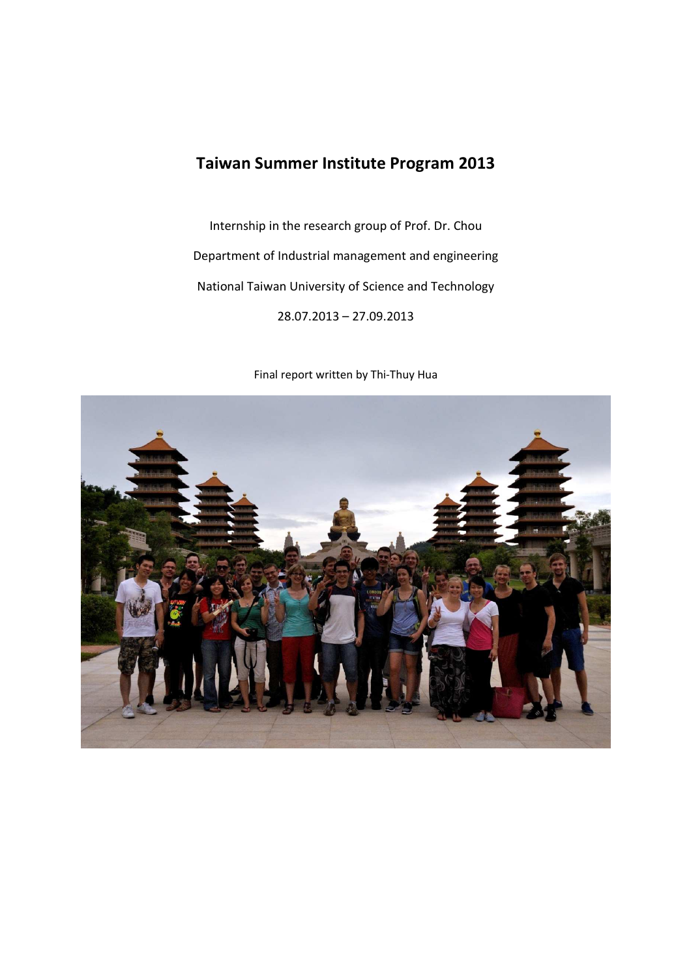# **Taiwan Summer Institute Program 2013**

Internship in the research group of Prof. Dr. Chou Department of Industrial management and engineering National Taiwan University of Science and Technology 28.07.2013 – 27.09.2013



Final report written by Thi-Thuy Hua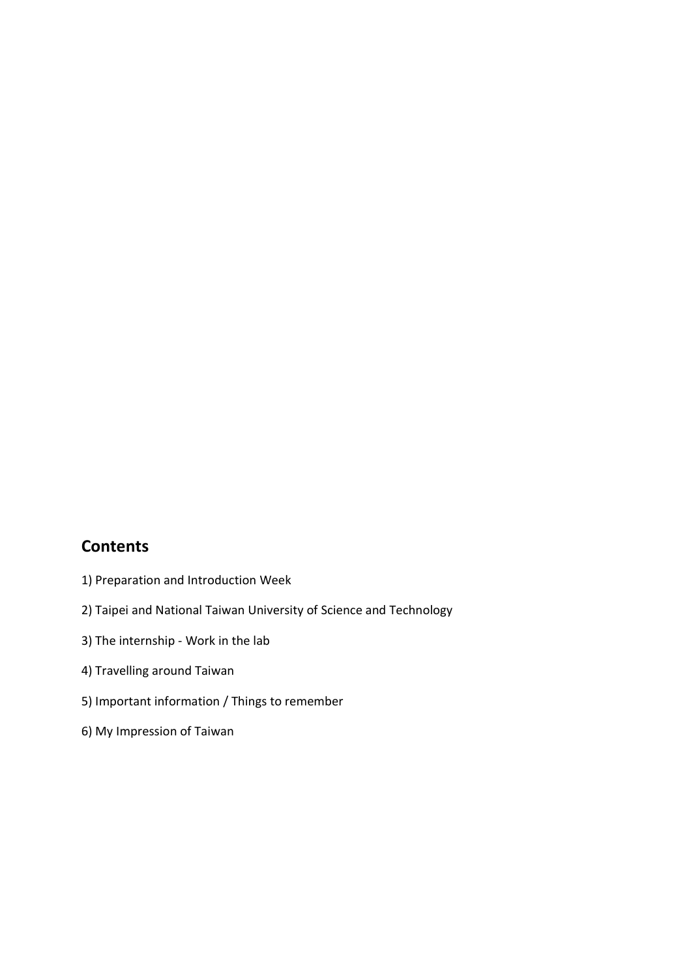## **Contents**

- 1) Preparation and Introduction Week
- 2) Taipei and National Taiwan University of Science and Technology
- 3) The internship Work in the lab
- 4) Travelling around Taiwan
- 5) Important information / Things to remember
- 6) My Impression of Taiwan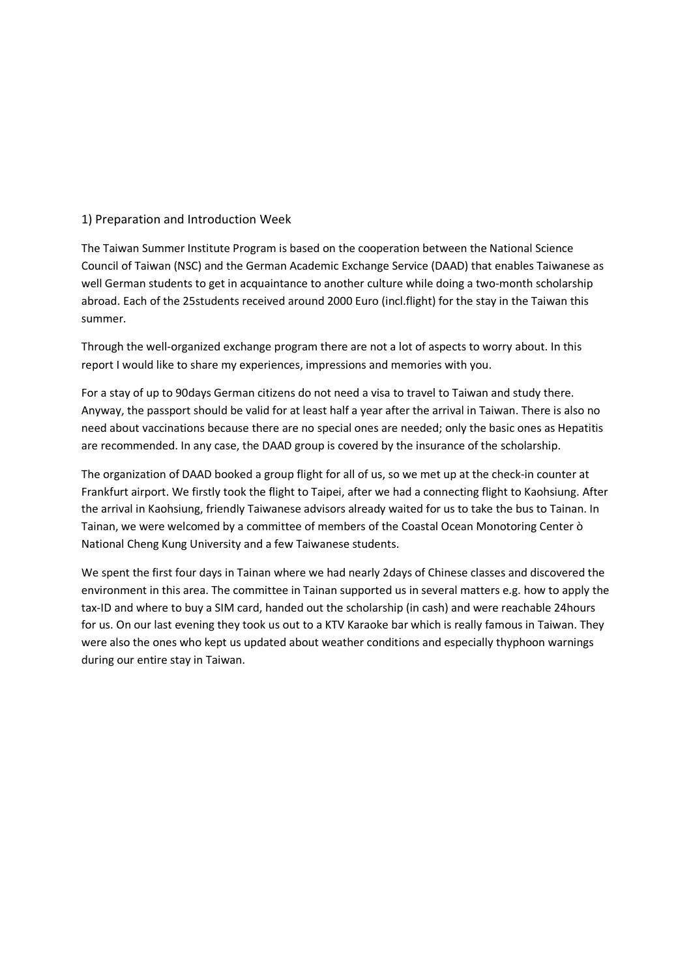#### 1) Preparation and Introduction Week

The Taiwan Summer Institute Program is based on the cooperation between the National Science Council of Taiwan (NSC) and the German Academic Exchange Service (DAAD) that enables Taiwanese as well German students to get in acquaintance to another culture while doing a two-month scholarship abroad. Each of the 25students received around 2000 Euro (incl.flight) for the stay in the Taiwan this summer.

Through the well-organized exchange program there are not a lot of aspects to worry about. In this report I would like to share my experiences, impressions and memories with you.

For a stay of up to 90days German citizens do not need a visa to travel to Taiwan and study there. Anyway, the passport should be valid for at least half a year after the arrival in Taiwan. There is also no need about vaccinations because there are no special ones are needed; only the basic ones as Hepatitis are recommended. In any case, the DAAD group is covered by the insurance of the scholarship.

The organization of DAAD booked a group flight for all of us, so we met up at the check-in counter at Frankfurt airport. We firstly took the flight to Taipei, after we had a connecting flight to Kaohsiung. After the arrival in Kaohsiung, friendly Taiwanese advisors already waited for us to take the bus to Tainan. In Tainan, we were welcomed by a committee of members of the Coastal Ocean Monotoring Center ò National Cheng Kung University and a few Taiwanese students.

We spent the first four days in Tainan where we had nearly 2days of Chinese classes and discovered the environment in this area. The committee in Tainan supported us in several matters e.g. how to apply the tax-ID and where to buy a SIM card, handed out the scholarship (in cash) and were reachable 24hours for us. On our last evening they took us out to a KTV Karaoke bar which is really famous in Taiwan. They were also the ones who kept us updated about weather conditions and especially thyphoon warnings during our entire stay in Taiwan.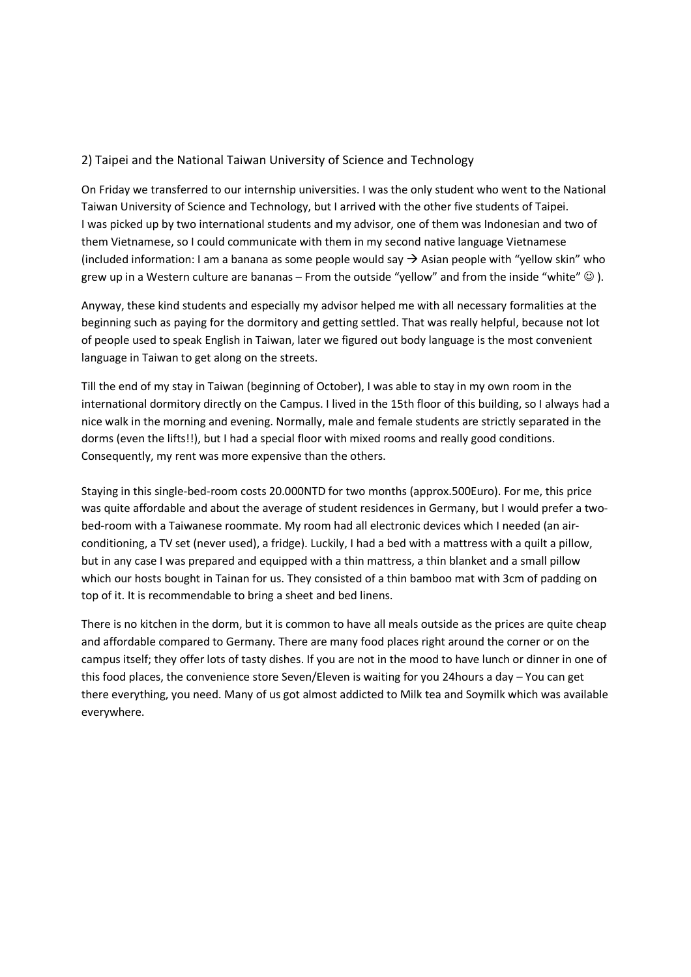#### 2) Taipei and the National Taiwan University of Science and Technology

On Friday we transferred to our internship universities. I was the only student who went to the National Taiwan University of Science and Technology, but I arrived with the other five students of Taipei. I was picked up by two international students and my advisor, one of them was Indonesian and two of them Vietnamese, so I could communicate with them in my second native language Vietnamese (included information: I am a banana as some people would say  $\rightarrow$  Asian people with "yellow skin" who grew up in a Western culture are bananas – From the outside "yellow" and from the inside "white"  $\odot$  ).

Anyway, these kind students and especially my advisor helped me with all necessary formalities at the beginning such as paying for the dormitory and getting settled. That was really helpful, because not lot of people used to speak English in Taiwan, later we figured out body language is the most convenient language in Taiwan to get along on the streets.

Till the end of my stay in Taiwan (beginning of October), I was able to stay in my own room in the international dormitory directly on the Campus. I lived in the 15th floor of this building, so I always had a nice walk in the morning and evening. Normally, male and female students are strictly separated in the dorms (even the lifts!!), but I had a special floor with mixed rooms and really good conditions. Consequently, my rent was more expensive than the others.

Staying in this single-bed-room costs 20.000NTD for two months (approx.500Euro). For me, this price was quite affordable and about the average of student residences in Germany, but I would prefer a twobed-room with a Taiwanese roommate. My room had all electronic devices which I needed (an airconditioning, a TV set (never used), a fridge). Luckily, I had a bed with a mattress with a quilt a pillow, but in any case I was prepared and equipped with a thin mattress, a thin blanket and a small pillow which our hosts bought in Tainan for us. They consisted of a thin bamboo mat with 3cm of padding on top of it. It is recommendable to bring a sheet and bed linens.

There is no kitchen in the dorm, but it is common to have all meals outside as the prices are quite cheap and affordable compared to Germany. There are many food places right around the corner or on the campus itself; they offer lots of tasty dishes. If you are not in the mood to have lunch or dinner in one of this food places, the convenience store Seven/Eleven is waiting for you 24hours a day – You can get there everything, you need. Many of us got almost addicted to Milk tea and Soymilk which was available everywhere.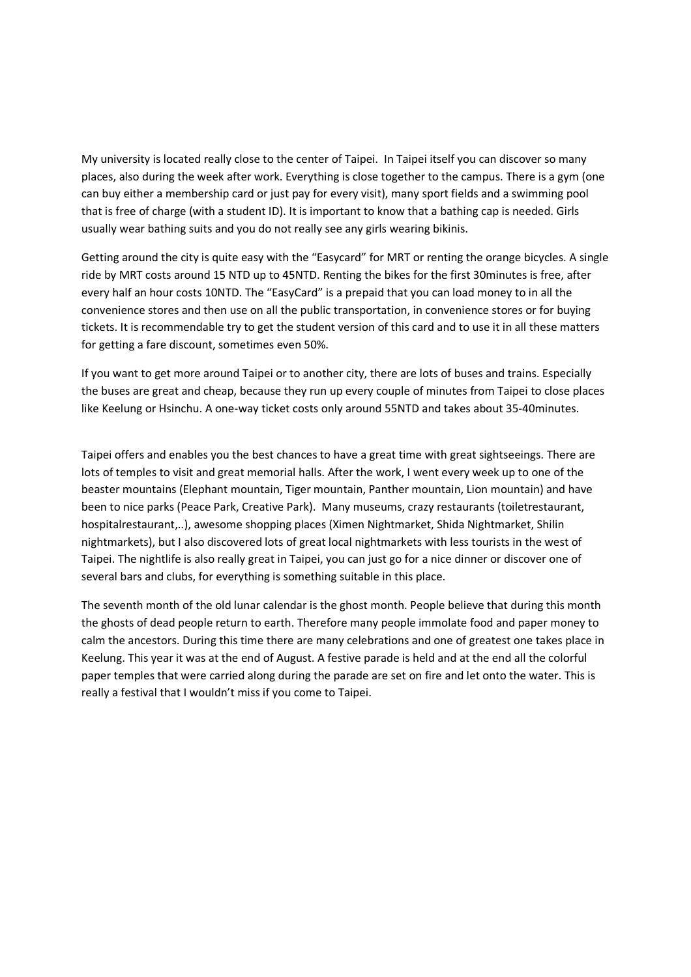My university is located really close to the center of Taipei. In Taipei itself you can discover so many places, also during the week after work. Everything is close together to the campus. There is a gym (one can buy either a membership card or just pay for every visit), many sport fields and a swimming pool that is free of charge (with a student ID). It is important to know that a bathing cap is needed. Girls usually wear bathing suits and you do not really see any girls wearing bikinis.

Getting around the city is quite easy with the "Easycard" for MRT or renting the orange bicycles. A single ride by MRT costs around 15 NTD up to 45NTD. Renting the bikes for the first 30minutes is free, after every half an hour costs 10NTD. The "EasyCard" is a prepaid that you can load money to in all the convenience stores and then use on all the public transportation, in convenience stores or for buying tickets. It is recommendable try to get the student version of this card and to use it in all these matters for getting a fare discount, sometimes even 50%.

If you want to get more around Taipei or to another city, there are lots of buses and trains. Especially the buses are great and cheap, because they run up every couple of minutes from Taipei to close places like Keelung or Hsinchu. A one-way ticket costs only around 55NTD and takes about 35-40minutes.

Taipei offers and enables you the best chances to have a great time with great sightseeings. There are lots of temples to visit and great memorial halls. After the work, I went every week up to one of the beaster mountains (Elephant mountain, Tiger mountain, Panther mountain, Lion mountain) and have been to nice parks (Peace Park, Creative Park). Many museums, crazy restaurants (toiletrestaurant, hospitalrestaurant,..), awesome shopping places (Ximen Nightmarket, Shida Nightmarket, Shilin nightmarkets), but I also discovered lots of great local nightmarkets with less tourists in the west of Taipei. The nightlife is also really great in Taipei, you can just go for a nice dinner or discover one of several bars and clubs, for everything is something suitable in this place.

The seventh month of the old lunar calendar is the ghost month. People believe that during this month the ghosts of dead people return to earth. Therefore many people immolate food and paper money to calm the ancestors. During this time there are many celebrations and one of greatest one takes place in Keelung. This year it was at the end of August. A festive parade is held and at the end all the colorful paper temples that were carried along during the parade are set on fire and let onto the water. This is really a festival that I wouldn't miss if you come to Taipei.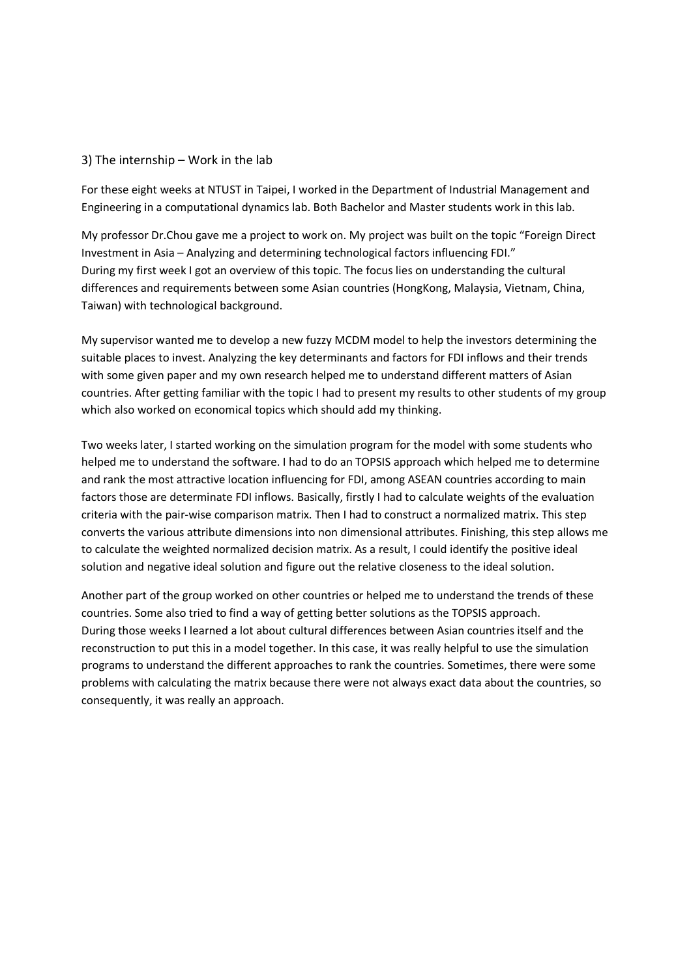#### 3) The internship – Work in the lab

For these eight weeks at NTUST in Taipei, I worked in the Department of Industrial Management and Engineering in a computational dynamics lab. Both Bachelor and Master students work in this lab.

My professor Dr.Chou gave me a project to work on. My project was built on the topic "Foreign Direct Investment in Asia – Analyzing and determining technological factors influencing FDI." During my first week I got an overview of this topic. The focus lies on understanding the cultural differences and requirements between some Asian countries (HongKong, Malaysia, Vietnam, China, Taiwan) with technological background.

My supervisor wanted me to develop a new fuzzy MCDM model to help the investors determining the suitable places to invest. Analyzing the key determinants and factors for FDI inflows and their trends with some given paper and my own research helped me to understand different matters of Asian countries. After getting familiar with the topic I had to present my results to other students of my group which also worked on economical topics which should add my thinking.

Two weeks later, I started working on the simulation program for the model with some students who helped me to understand the software. I had to do an TOPSIS approach which helped me to determine and rank the most attractive location influencing for FDI, among ASEAN countries according to main factors those are determinate FDI inflows. Basically, firstly I had to calculate weights of the evaluation criteria with the pair-wise comparison matrix. Then I had to construct a normalized matrix. This step converts the various attribute dimensions into non dimensional attributes. Finishing, this step allows me to calculate the weighted normalized decision matrix. As a result, I could identify the positive ideal solution and negative ideal solution and figure out the relative closeness to the ideal solution.

Another part of the group worked on other countries or helped me to understand the trends of these countries. Some also tried to find a way of getting better solutions as the TOPSIS approach. During those weeks I learned a lot about cultural differences between Asian countries itself and the reconstruction to put this in a model together. In this case, it was really helpful to use the simulation programs to understand the different approaches to rank the countries. Sometimes, there were some problems with calculating the matrix because there were not always exact data about the countries, so consequently, it was really an approach.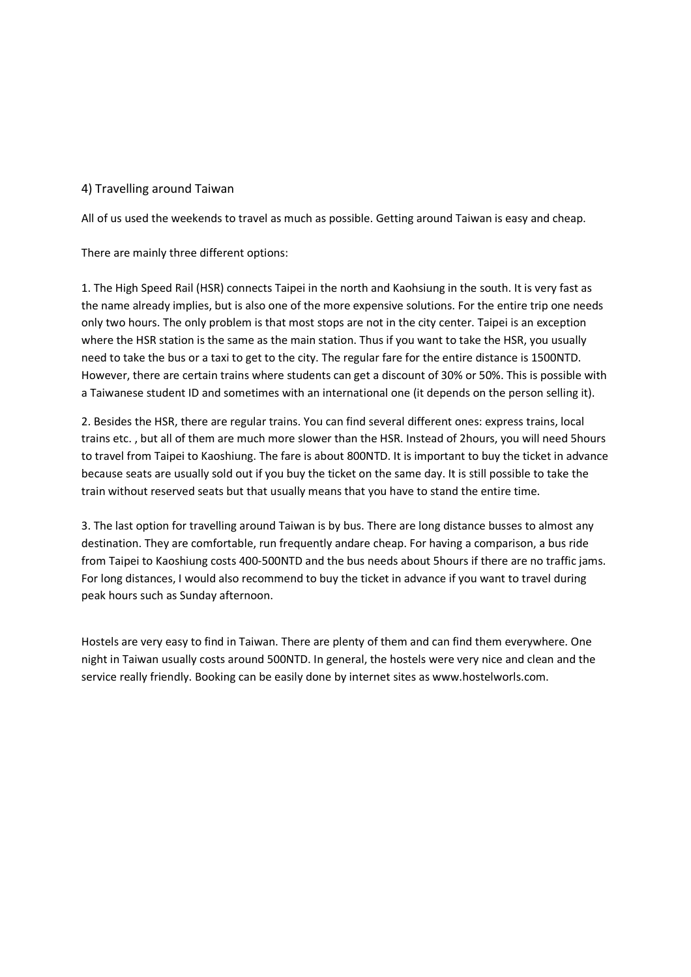## 4) Travelling around Taiwan

All of us used the weekends to travel as much as possible. Getting around Taiwan is easy and cheap.

There are mainly three different options:

1. The High Speed Rail (HSR) connects Taipei in the north and Kaohsiung in the south. It is very fast as the name already implies, but is also one of the more expensive solutions. For the entire trip one needs only two hours. The only problem is that most stops are not in the city center. Taipei is an exception where the HSR station is the same as the main station. Thus if you want to take the HSR, you usually need to take the bus or a taxi to get to the city. The regular fare for the entire distance is 1500NTD. However, there are certain trains where students can get a discount of 30% or 50%. This is possible with a Taiwanese student ID and sometimes with an international one (it depends on the person selling it).

2. Besides the HSR, there are regular trains. You can find several different ones: express trains, local trains etc. , but all of them are much more slower than the HSR. Instead of 2hours, you will need 5hours to travel from Taipei to Kaoshiung. The fare is about 800NTD. It is important to buy the ticket in advance because seats are usually sold out if you buy the ticket on the same day. It is still possible to take the train without reserved seats but that usually means that you have to stand the entire time.

3. The last option for travelling around Taiwan is by bus. There are long distance busses to almost any destination. They are comfortable, run frequently andare cheap. For having a comparison, a bus ride from Taipei to Kaoshiung costs 400-500NTD and the bus needs about 5hours if there are no traffic jams. For long distances, I would also recommend to buy the ticket in advance if you want to travel during peak hours such as Sunday afternoon.

Hostels are very easy to find in Taiwan. There are plenty of them and can find them everywhere. One night in Taiwan usually costs around 500NTD. In general, the hostels were very nice and clean and the service really friendly. Booking can be easily done by internet sites as www.hostelworls.com.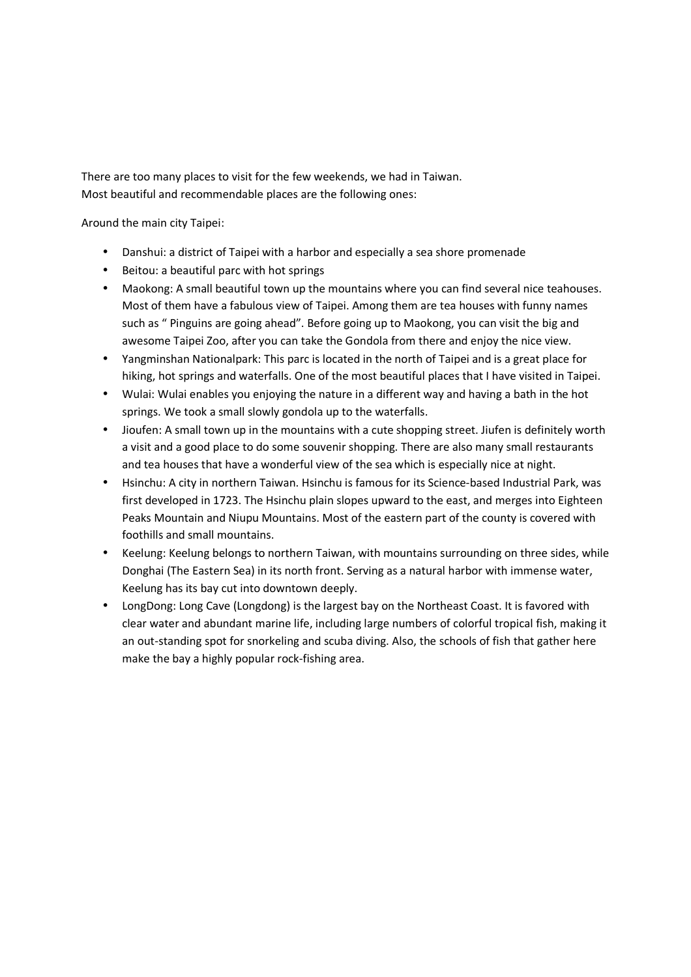There are too many places to visit for the few weekends, we had in Taiwan. Most beautiful and recommendable places are the following ones:

Around the main city Taipei:

- Danshui: a district of Taipei with a harbor and especially a sea shore promenade
- Beitou: a beautiful parc with hot springs
- Maokong: A small beautiful town up the mountains where you can find several nice teahouses. Most of them have a fabulous view of Taipei. Among them are tea houses with funny names such as " Pinguins are going ahead". Before going up to Maokong, you can visit the big and awesome Taipei Zoo, after you can take the Gondola from there and enjoy the nice view.
- Yangminshan Nationalpark: This parc is located in the north of Taipei and is a great place for hiking, hot springs and waterfalls. One of the most beautiful places that I have visited in Taipei.
- Wulai: Wulai enables you enjoying the nature in a different way and having a bath in the hot springs. We took a small slowly gondola up to the waterfalls.
- Jioufen: A small town up in the mountains with a cute shopping street. Jiufen is definitely worth a visit and a good place to do some souvenir shopping. There are also many small restaurants and tea houses that have a wonderful view of the sea which is especially nice at night.
- Hsinchu: A city in northern Taiwan. Hsinchu is famous for its Science-based Industrial Park, was first developed in 1723. The Hsinchu plain slopes upward to the east, and merges into Eighteen Peaks Mountain and Niupu Mountains. Most of the eastern part of the county is covered with foothills and small mountains.
- Keelung: Keelung belongs to northern Taiwan, with mountains surrounding on three sides, while Donghai (The Eastern Sea) in its north front. Serving as a natural harbor with immense water, Keelung has its bay cut into downtown deeply.
- LongDong: Long Cave (Longdong) is the largest bay on the Northeast Coast. It is favored with clear water and abundant marine life, including large numbers of colorful tropical fish, making it an out-standing spot for snorkeling and scuba diving. Also, the schools of fish that gather here make the bay a highly popular rock-fishing area.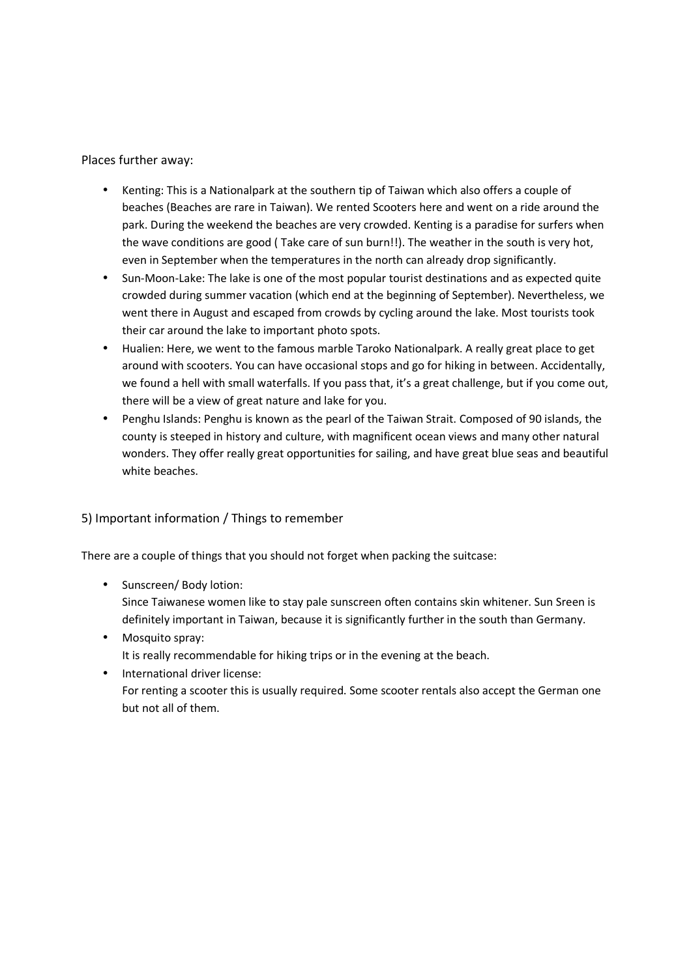Places further away:

- Kenting: This is a Nationalpark at the southern tip of Taiwan which also offers a couple of beaches (Beaches are rare in Taiwan). We rented Scooters here and went on a ride around the park. During the weekend the beaches are very crowded. Kenting is a paradise for surfers when the wave conditions are good ( Take care of sun burn!!). The weather in the south is very hot, even in September when the temperatures in the north can already drop significantly.
- Sun-Moon-Lake: The lake is one of the most popular tourist destinations and as expected quite crowded during summer vacation (which end at the beginning of September). Nevertheless, we went there in August and escaped from crowds by cycling around the lake. Most tourists took their car around the lake to important photo spots.
- Hualien: Here, we went to the famous marble Taroko Nationalpark. A really great place to get around with scooters. You can have occasional stops and go for hiking in between. Accidentally, we found a hell with small waterfalls. If you pass that, it's a great challenge, but if you come out, there will be a view of great nature and lake for you.
- Penghu Islands: Penghu is known as the pearl of the Taiwan Strait. Composed of 90 islands, the county is steeped in history and culture, with magnificent ocean views and many other natural wonders. They offer really great opportunities for sailing, and have great blue seas and beautiful white beaches.

### 5) Important information / Things to remember

There are a couple of things that you should not forget when packing the suitcase:

- Sunscreen/ Body lotion: Since Taiwanese women like to stay pale sunscreen often contains skin whitener. Sun Sreen is definitely important in Taiwan, because it is significantly further in the south than Germany.
- Mosquito spray: It is really recommendable for hiking trips or in the evening at the beach.
- International driver license: For renting a scooter this is usually required. Some scooter rentals also accept the German one but not all of them.